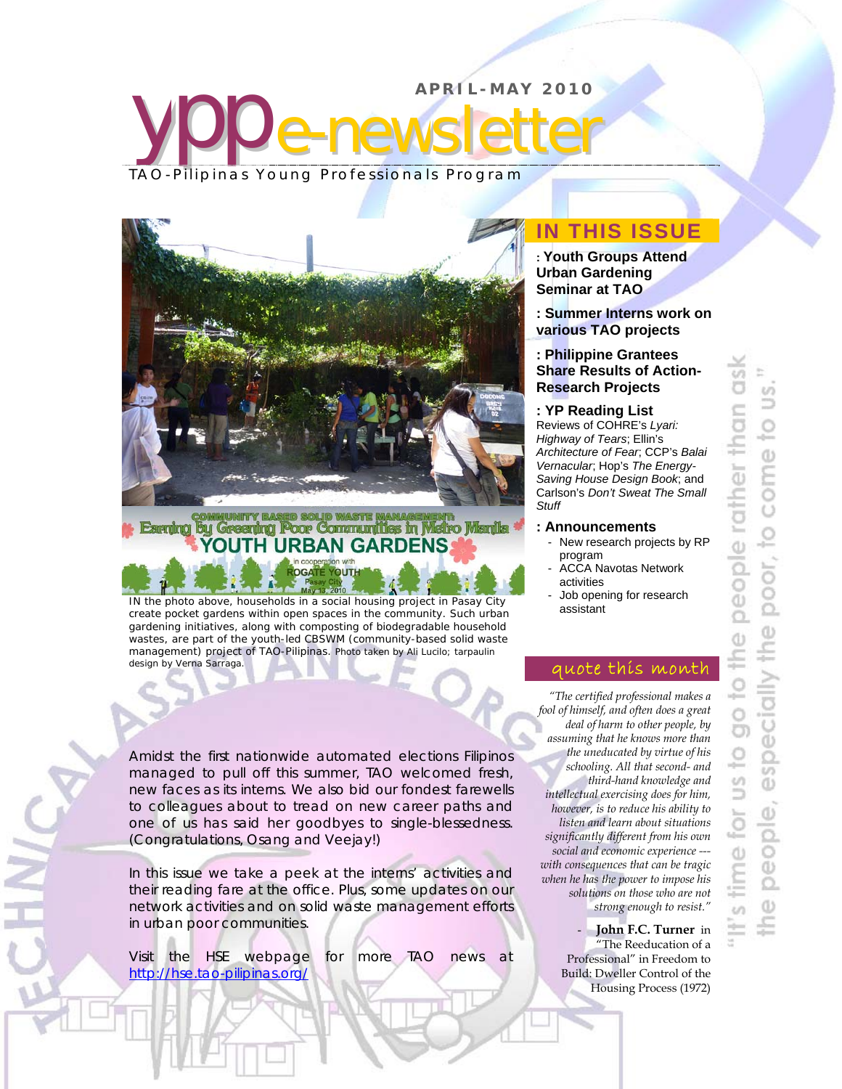# ypp **APRIL-MAY 2010**  e-newsletter TAO-Pilipinas Young Professionals Program



# **COMMUNITY BASED SOLID WASTE MANAGEMENT:**<br>Farring by Greening Poor Communities in Metro Manila YOUTH URBAN GARDENS

YOUTH

**OGATE** 

IN the photo above, households in a social housing project in Pasay City create pocket gardens within open spaces in the community. Such urban gardening initiatives, along with composting of biodegradable household wastes, are part of the youth-led CBSWM (community-based solid waste management) project of TAO-Pilipinas. *Photo taken by Ali Lucilo; tarpaulin design by Verna Sarraga.*

Amidst the first nationwide automated elections Filipinos managed to pull off this summer, TAO welcomed fresh, new faces as its interns. We also bid our fondest farewells to colleagues about to tread on new career paths and one of us has said her goodbyes to single-blessedness. (Congratulations, Osang and Veejay!)

In this issue we take a peek at the interns' activities and their reading fare at the office. Plus, some updates on our network activities and on solid waste management efforts in urban poor communities.

Visit the HSE webpage for more TAO news at http://hse.tao-pilipinas.org/

ļ

# **IN THIS ISSUE**

**: Youth Groups Attend Urban Gardening Seminar at TAO**

**: Summer Interns work on various TAO projects** 

**: Philippine Grantees Share Results of Action-Research Projects** 

#### **: YP Reading List**

Reviews of COHRE's *Lyari: Highway of Tears*; Ellin's *Architecture of Fear*; CCP's *Balai Vernacular*; Hop's *The Energy-Saving House Design Book*; and Carlson's *Don't Sweat The Small Stuff*

#### **: Announcements**

- New research projects by RP program
- ACCA Navotas Network activities
- Job opening for research assistant

## quote this month

*"The certified professional makes a fool of himself, and often does a great deal of harm to other people, by assuming that he knows more than the uneducated by virtue of his schooling. All that second- and third-hand knowledge and intellectual exercising does for him, however, is to reduce his ability to listen and learn about situations significantly different from his own social and economic experience -- with consequences that can be tragic when he has the power to impose his solutions on those who are not strong enough to resist."* 

> - **John F.C. Turner** in "The Reeducation of a Professional" in Freedom to Build: Dweller Control of the Housing Process (1972)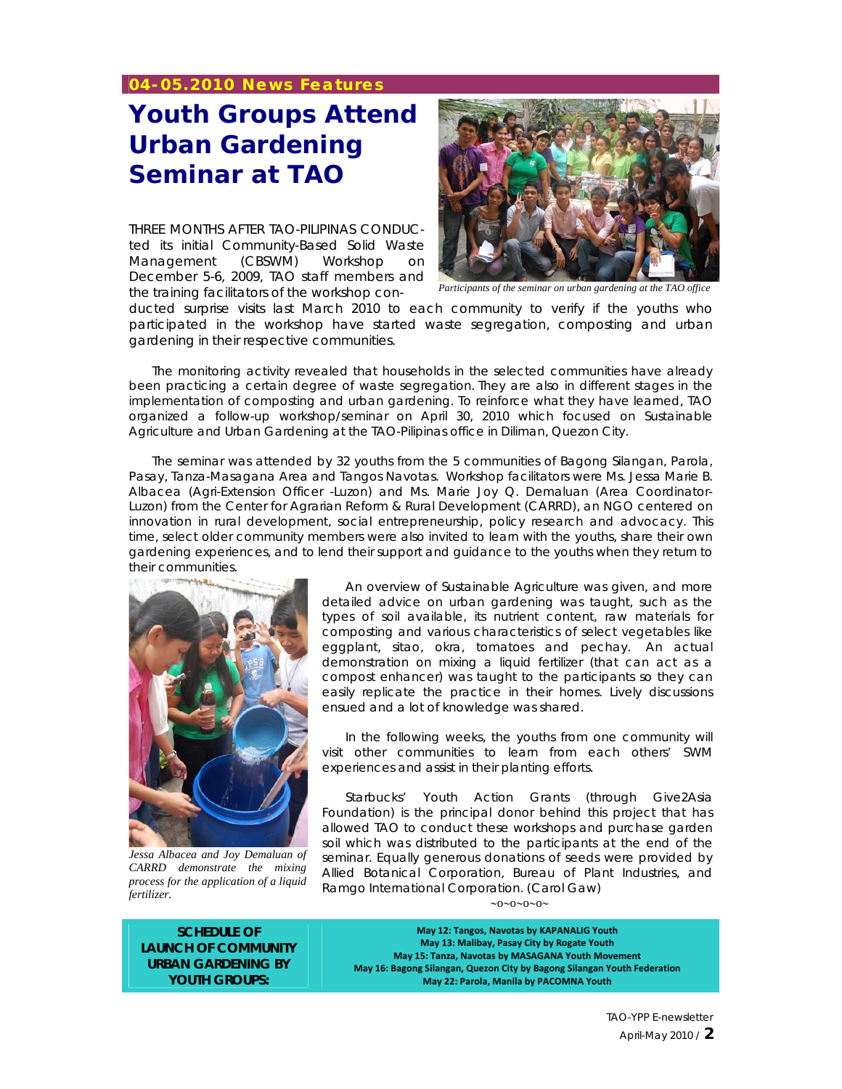## **04-05.2010 News Features**

# **Youth Groups Attend Urban Gardening Seminar at TAO**

THREE MONTHS AFTER TAO-PILIPINAS CONDUCted its initial Community-Based Solid Waste Management (CBSWM) Workshop on December 5-6, 2009, TAO staff members and the training facilitators of the workshop con- *Participants of the seminar on urban gardening at the TAO office* 



ducted surprise visits last March 2010 to each community to verify if the youths who participated in the workshop have started waste segregation, composting and urban gardening in their respective communities.

The monitoring activity revealed that households in the selected communities have already been practicing a certain degree of waste segregation. They are also in different stages in the implementation of composting and urban gardening. To reinforce what they have learned, TAO organized a follow-up workshop/seminar on April 30, 2010 which focused on Sustainable Agriculture and Urban Gardening at the TAO-Pilipinas office in Diliman, Quezon City.

The seminar was attended by 32 youths from the 5 communities of Bagong Silangan, Parola, Pasay, Tanza-Masagana Area and Tangos Navotas. Workshop facilitators were Ms. Jessa Marie B. Albacea (Agri-Extension Officer -Luzon) and Ms. Marie Joy Q. Demaluan (Area Coordinator-Luzon) from the Center for Agrarian Reform & Rural Development (CARRD), an NGO centered on innovation in rural development, social entrepreneurship, policy research and advocacy. This time, select older community members were also invited to learn with the youths, share their own gardening experiences, and to lend their support and guidance to the youths when they return to their communities.



*Jessa Albacea and Joy Demaluan of CARRD demonstrate the mixing process for the application of a liquid fertilizer.* 

An overview of Sustainable Agriculture was given, and more detailed advice on urban gardening was taught, such as the types of soil available, its nutrient content, raw materials for composting and various characteristics of select vegetables like eggplant, sitao, okra, tomatoes and pechay. An actual demonstration on mixing a liquid fertilizer (that can act as a compost enhancer) was taught to the participants so they can easily replicate the practice in their homes. Lively discussions ensued and a lot of knowledge was shared.

In the following weeks, the youths from one community will visit other communities to learn from each others' SWM experiences and assist in their planting efforts.

Starbucks' Youth Action Grants (through Give2Asia Foundation) is the principal donor behind this project that has allowed TAO to conduct these workshops and purchase garden soil which was distributed to the participants at the end of the seminar. Equally generous donations of seeds were provided by Allied Botanical Corporation, Bureau of Plant Industries, and Ramgo International Corporation. *(Carol Gaw)*  $\sim 0 \sim 0 \sim 0 \sim$ 

**SCHEDULE OF LAUNCH OF COMMUNITY URBAN GARDENING BY YOUTH GROUPS:** 

**May 12: Tangos, Navotas by KAPANALIG Youth May 13: Malibay, Pasay City by Rogate Youth May 15: Tanza, Navotas by MASAGANA Youth Movement May 16: Bagong Silangan, Quezon City by Bagong Silangan Youth Federation May 22: Parola, Manila by PACOMNA Youth**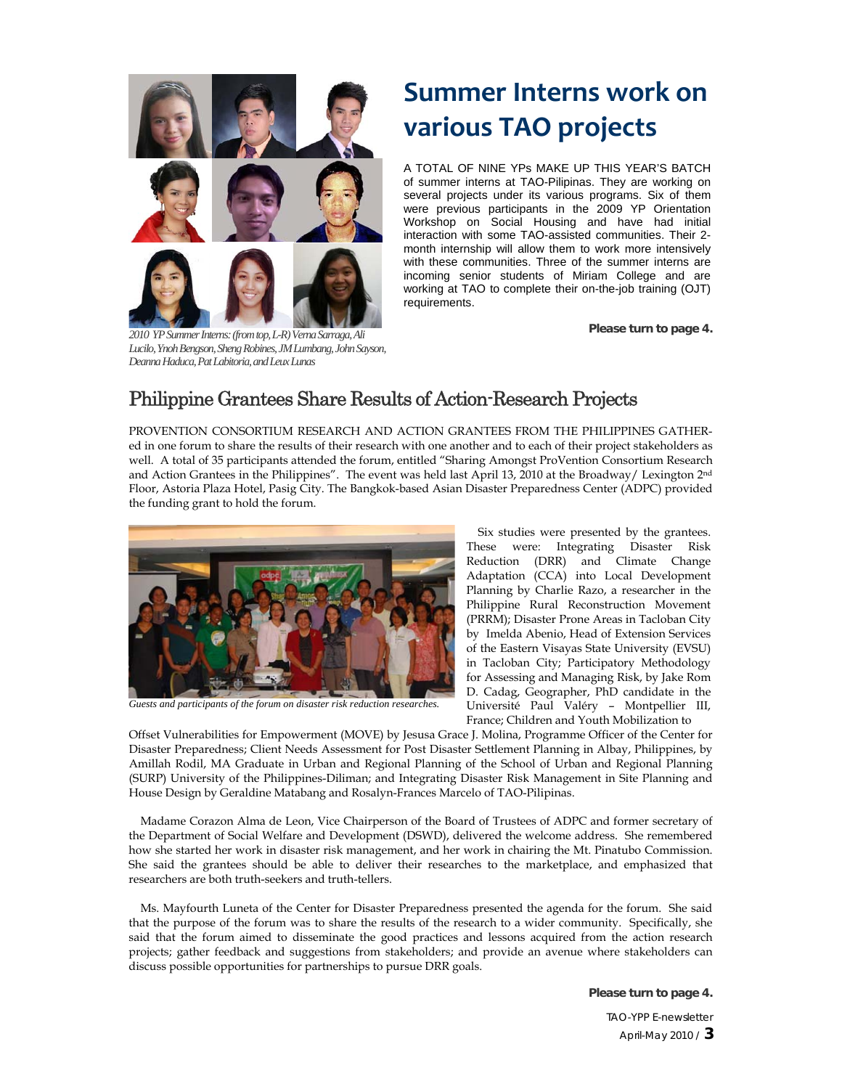

**Please turn to page 4.** *2010 YP Summer Interns: (from top, L-R) Verna Sarraga, Ali Lucilo, Ynoh Bengson, Sheng Robines, JM Lumbang, John Sayson, Deanna Haduca, Pat Labitoria, and Leux Lunas* 

# **Summer Interns work on various TAO projects**

A TOTAL OF NINE YPs MAKE UP THIS YEAR'S BATCH of summer interns at TAO-Pilipinas. They are working on several projects under its various programs. Six of them were previous participants in the 2009 YP Orientation Workshop on Social Housing and have had initial interaction with some TAO-assisted communities. Their 2 month internship will allow them to work more intensively with these communities. Three of the summer interns are incoming senior students of Miriam College and are working at TAO to complete their on-the-job training (OJT) requirements.

# Philippine Grantees Share Results of Action-Research Projects

PROVENTION CONSORTIUM RESEARCH AND ACTION GRANTEES FROM THE PHILIPPINES GATHERed in one forum to share the results of their research with one another and to each of their project stakeholders as well. A total of 35 participants attended the forum, entitled "Sharing Amongst ProVention Consortium Research and Action Grantees in the Philippines". The event was held last April 13, 2010 at the Broadway/ Lexington 2nd Floor, Astoria Plaza Hotel, Pasig City. The Bangkok-based Asian Disaster Preparedness Center (ADPC) provided the funding grant to hold the forum.



*Guests and participants of the forum on disaster risk reduction researches.* 

Six studies were presented by the grantees. These were: Integrating Disaster Risk Reduction (DRR) and Climate Change Adaptation (CCA) into Local Development Planning by Charlie Razo, a researcher in the Philippine Rural Reconstruction Movement (PRRM); Disaster Prone Areas in Tacloban City by Imelda Abenio, Head of Extension Services of the Eastern Visayas State University (EVSU) in Tacloban City; Participatory Methodology for Assessing and Managing Risk, by Jake Rom D. Cadag, Geographer, PhD candidate in the Université Paul Valéry – Montpellier III, France; Children and Youth Mobilization to

Offset Vulnerabilities for Empowerment (MOVE) by Jesusa Grace J. Molina, Programme Officer of the Center for Disaster Preparedness; Client Needs Assessment for Post Disaster Settlement Planning in Albay, Philippines, by Amillah Rodil, MA Graduate in Urban and Regional Planning of the School of Urban and Regional Planning (SURP) University of the Philippines-Diliman; and Integrating Disaster Risk Management in Site Planning and House Design by Geraldine Matabang and Rosalyn-Frances Marcelo of TAO-Pilipinas.

Madame Corazon Alma de Leon, Vice Chairperson of the Board of Trustees of ADPC and former secretary of the Department of Social Welfare and Development (DSWD), delivered the welcome address. She remembered how she started her work in disaster risk management, and her work in chairing the Mt. Pinatubo Commission. She said the grantees should be able to deliver their researches to the marketplace, and emphasized that researchers are both truth-seekers and truth-tellers.

Ms. Mayfourth Luneta of the Center for Disaster Preparedness presented the agenda for the forum. She said that the purpose of the forum was to share the results of the research to a wider community. Specifically, she said that the forum aimed to disseminate the good practices and lessons acquired from the action research projects; gather feedback and suggestions from stakeholders; and provide an avenue where stakeholders can discuss possible opportunities for partnerships to pursue DRR goals.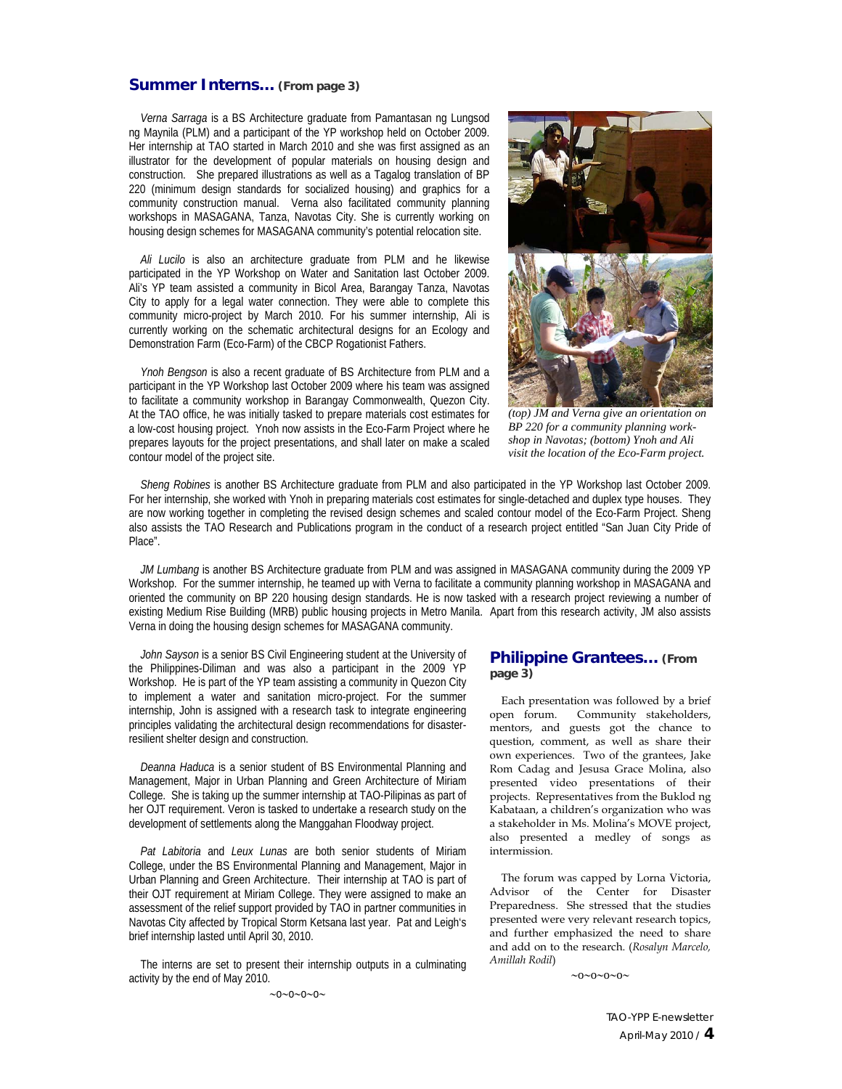#### **Summer Interns… (From page 3)**

*Verna Sarraga* is a BS Architecture graduate from Pamantasan ng Lungsod ng Maynila (PLM) and a participant of the YP workshop held on October 2009. Her internship at TAO started in March 2010 and she was first assigned as an illustrator for the development of popular materials on housing design and construction. She prepared illustrations as well as a Tagalog translation of BP 220 (minimum design standards for socialized housing) and graphics for a community construction manual. Verna also facilitated community planning workshops in MASAGANA, Tanza, Navotas City. She is currently working on housing design schemes for MASAGANA community's potential relocation site.

*Ali Lucilo* is also an architecture graduate from PLM and he likewise participated in the YP Workshop on Water and Sanitation last October 2009. Ali's YP team assisted a community in Bicol Area, Barangay Tanza, Navotas City to apply for a legal water connection. They were able to complete this community micro-project by March 2010. For his summer internship, Ali is currently working on the schematic architectural designs for an Ecology and Demonstration Farm (Eco-Farm) of the CBCP Rogationist Fathers.

*Ynoh Bengson* is also a recent graduate of BS Architecture from PLM and a participant in the YP Workshop last October 2009 where his team was assigned to facilitate a community workshop in Barangay Commonwealth, Quezon City. At the TAO office, he was initially tasked to prepare materials cost estimates for a low-cost housing project. Ynoh now assists in the Eco-Farm Project where he prepares layouts for the project presentations, and shall later on make a scaled contour model of the project site.



*(top) JM and Verna give an orientation on BP 220 for a community planning workshop in Navotas; (bottom) Ynoh and Ali visit the location of the Eco-Farm project.* 

*Sheng Robines* is another BS Architecture graduate from PLM and also participated in the YP Workshop last October 2009. For her internship, she worked with Ynoh in preparing materials cost estimates for single-detached and duplex type houses. They are now working together in completing the revised design schemes and scaled contour model of the Eco-Farm Project. Sheng also assists the TAO Research and Publications program in the conduct of a research project entitled "San Juan City Pride of Place".

*JM Lumbang* is another BS Architecture graduate from PLM and was assigned in MASAGANA community during the 2009 YP Workshop. For the summer internship, he teamed up with Verna to facilitate a community planning workshop in MASAGANA and oriented the community on BP 220 housing design standards. He is now tasked with a research project reviewing a number of existing Medium Rise Building (MRB) public housing projects in Metro Manila. Apart from this research activity, JM also assists Verna in doing the housing design schemes for MASAGANA community.

*John Sayson* is a senior BS Civil Engineering student at the University of the Philippines-Diliman and was also a participant in the 2009 YP Workshop. He is part of the YP team assisting a community in Quezon City to implement a water and sanitation micro-project. For the summer internship, John is assigned with a research task to integrate engineering principles validating the architectural design recommendations for disasterresilient shelter design and construction.

*Deanna Haduca* is a senior student of BS Environmental Planning and Management, Major in Urban Planning and Green Architecture of Miriam College. She is taking up the summer internship at TAO-Pilipinas as part of her OJT requirement. Veron is tasked to undertake a research study on the development of settlements along the Manggahan Floodway project.

*Pat Labitoria* and *Leux Lunas* are both senior students of Miriam College, under the BS Environmental Planning and Management, Major in Urban Planning and Green Architecture. Their internship at TAO is part of their OJT requirement at Miriam College. They were assigned to make an assessment of the relief support provided by TAO in partner communities in Navotas City affected by Tropical Storm Ketsana last year. Pat and Leigh's brief internship lasted until April 30, 2010.

The interns are set to present their internship outputs in a culminating activity by the end of May 2010.

 $\sim0\sim0\sim0\sim0\sim$ 

#### **Philippine Grantees… (From page 3)**

Each presentation was followed by a brief open forum. Community stakeholders, mentors, and guests got the chance to question, comment, as well as share their own experiences. Two of the grantees, Jake Rom Cadag and Jesusa Grace Molina, also presented video presentations of their projects. Representatives from the Buklod ng Kabataan, a children's organization who was a stakeholder in Ms. Molina's MOVE project, also presented a medley of songs as intermission.

The forum was capped by Lorna Victoria, Advisor of the Center for Disaster Preparedness. She stressed that the studies presented were very relevant research topics, and further emphasized the need to share and add on to the research. (*Rosalyn Marcelo, Amillah Rodil*)

 $\sim 0 \sim 0 \sim 0 \sim 0$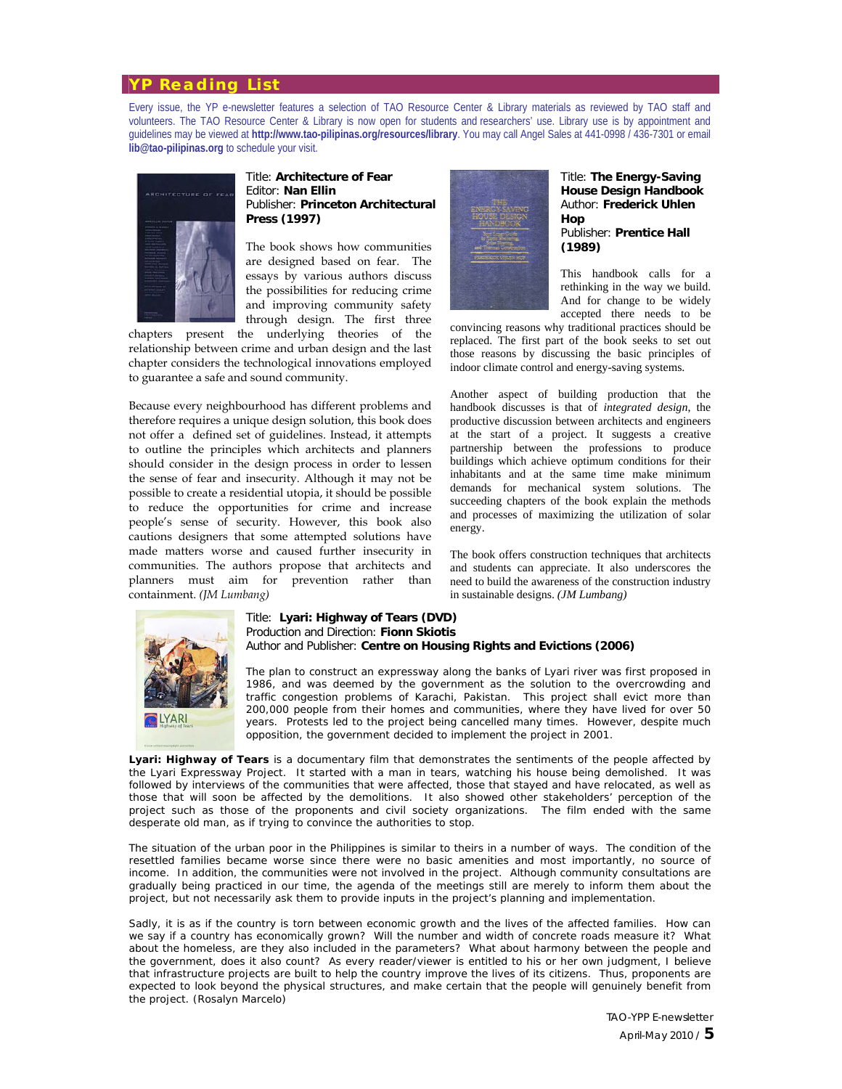#### **YP Reading List**

Every issue, the YP e-newsletter features a selection of TAO Resource Center & Library materials as reviewed by TAO staff and volunteers. The TAO Resource Center & Library is now open for students and researchers' use. Library use is by appointment and guidelines may be viewed at **http://www.tao-pilipinas.org/resources/library**. You may call Angel Sales at 441-0998 / 436-7301 or email **lib@tao-pilipinas.org** to schedule your visit.



#### Title: **Architecture of Fear** Editor: **Nan Ellin** Publisher: **Princeton Architectural Press (1997)**

The book shows how communities are designed based on fear. The essays by various authors discuss the possibilities for reducing crime and improving community safety through design. The first three

chapters present the underlying theories of the relationship between crime and urban design and the last chapter considers the technological innovations employed to guarantee a safe and sound community.

Because every neighbourhood has different problems and therefore requires a unique design solution, this book does not offer a defined set of guidelines. Instead, it attempts to outline the principles which architects and planners should consider in the design process in order to lessen the sense of fear and insecurity. Although it may not be possible to create a residential utopia, it should be possible to reduce the opportunities for crime and increase people's sense of security. However, this book also cautions designers that some attempted solutions have made matters worse and caused further insecurity in communities. The authors propose that architects and planners must aim for prevention rather than containment. *(JM Lumbang)*



Title: **The Energy-Saving House Design Handbook** Author: **Frederick Uhlen Hop** Publisher: **Prentice Hall (1989)**

This handbook calls for a rethinking in the way we build. And for change to be widely accepted there needs to be

convincing reasons why traditional practices should be replaced. The first part of the book seeks to set out those reasons by discussing the basic principles of indoor climate control and energy-saving systems.

Another aspect of building production that the handbook discusses is that of *integrated design*, the productive discussion between architects and engineers at the start of a project. It suggests a creative partnership between the professions to produce buildings which achieve optimum conditions for their inhabitants and at the same time make minimum demands for mechanical system solutions. The succeeding chapters of the book explain the methods and processes of maximizing the utilization of solar energy.

The book offers construction techniques that architects and students can appreciate. It also underscores the need to build the awareness of the construction industry in sustainable designs. *(JM Lumbang)*



#### Title: **Lyari: Highway of Tears (DVD)**  Production and Direction: **Fionn Skiotis** Author and Publisher: **Centre on Housing Rights and Evictions (2006)**

The plan to construct an expressway along the banks of Lyari river was first proposed in 1986, and was deemed by the government as the solution to the overcrowding and traffic congestion problems of Karachi, Pakistan. This project shall evict more than 200,000 people from their homes and communities, where they have lived for over 50 years. Protests led to the project being cancelled many times. However, despite much opposition, the government decided to implement the project in 2001.

*Lyari: Highway of Tears* is a documentary film that demonstrates the sentiments of the people affected by the Lyari Expressway Project. It started with a man in tears, watching his house being demolished. It was followed by interviews of the communities that were affected, those that stayed and have relocated, as well as those that will soon be affected by the demolitions. It also showed other stakeholders' perception of the project such as those of the proponents and civil society organizations. The film ended with the same desperate old man, as if trying to convince the authorities to stop.

The situation of the urban poor in the Philippines is similar to theirs in a number of ways. The condition of the resettled families became worse since there were no basic amenities and most importantly, no source of income. In addition, the communities were not involved in the project. Although community consultations are gradually being practiced in our time, the agenda of the meetings still are merely to inform them about the project, but not necessarily ask them to provide inputs in the project's planning and implementation.

Sadly, it is as if the country is torn between economic growth and the lives of the affected families. How can we say if a country has economically grown? Will the number and width of concrete roads measure it? What about the homeless, are they also included in the parameters? What about harmony between the people and the government, does it also count? As every reader/viewer is entitled to his or her own judgment, I believe that infrastructure projects are built to help the country improve the lives of its citizens. Thus, proponents are expected to look beyond the physical structures, and make certain that the people will genuinely benefit from the project. *(Rosalyn Marcelo)*